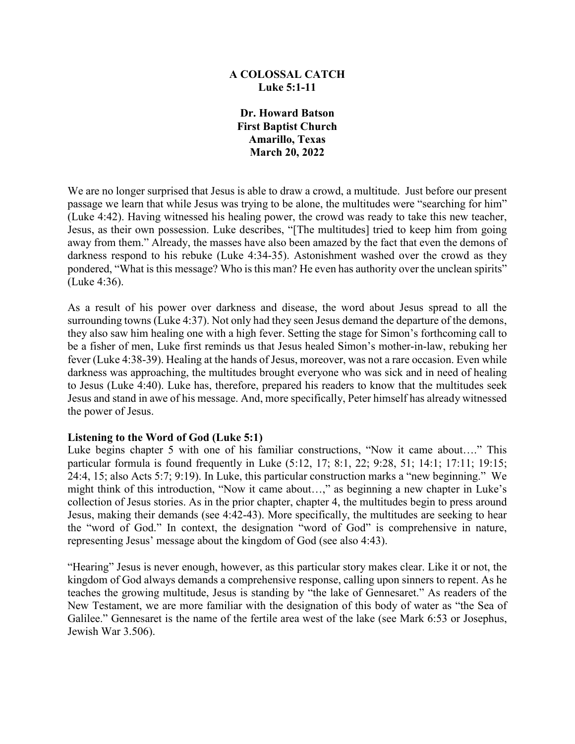# **A COLOSSAL CATCH Luke 5:1-11**

**Dr. Howard Batson First Baptist Church Amarillo, Texas March 20, 2022**

We are no longer surprised that Jesus is able to draw a crowd, a multitude. Just before our present passage we learn that while Jesus was trying to be alone, the multitudes were "searching for him" (Luke 4:42). Having witnessed his healing power, the crowd was ready to take this new teacher, Jesus, as their own possession. Luke describes, "[The multitudes] tried to keep him from going away from them." Already, the masses have also been amazed by the fact that even the demons of darkness respond to his rebuke (Luke 4:34-35). Astonishment washed over the crowd as they pondered, "What is this message? Who is this man? He even has authority over the unclean spirits" (Luke 4:36).

As a result of his power over darkness and disease, the word about Jesus spread to all the surrounding towns (Luke 4:37). Not only had they seen Jesus demand the departure of the demons, they also saw him healing one with a high fever. Setting the stage for Simon's forthcoming call to be a fisher of men, Luke first reminds us that Jesus healed Simon's mother-in-law, rebuking her fever (Luke 4:38-39). Healing at the hands of Jesus, moreover, was not a rare occasion. Even while darkness was approaching, the multitudes brought everyone who was sick and in need of healing to Jesus (Luke 4:40). Luke has, therefore, prepared his readers to know that the multitudes seek Jesus and stand in awe of his message. And, more specifically, Peter himself has already witnessed the power of Jesus.

## **Listening to the Word of God (Luke 5:1)**

Luke begins chapter 5 with one of his familiar constructions, "Now it came about…." This particular formula is found frequently in Luke (5:12, 17; 8:1, 22; 9:28, 51; 14:1; 17:11; 19:15; 24:4, 15; also Acts 5:7; 9:19). In Luke, this particular construction marks a "new beginning." We might think of this introduction, "Now it came about…," as beginning a new chapter in Luke's collection of Jesus stories. As in the prior chapter, chapter 4, the multitudes begin to press around Jesus, making their demands (see 4:42-43). More specifically, the multitudes are seeking to hear the "word of God." In context, the designation "word of God" is comprehensive in nature, representing Jesus' message about the kingdom of God (see also 4:43).

"Hearing" Jesus is never enough, however, as this particular story makes clear. Like it or not, the kingdom of God always demands a comprehensive response, calling upon sinners to repent. As he teaches the growing multitude, Jesus is standing by "the lake of Gennesaret." As readers of the New Testament, we are more familiar with the designation of this body of water as "the Sea of Galilee." Gennesaret is the name of the fertile area west of the lake (see Mark 6:53 or Josephus, Jewish War 3.506).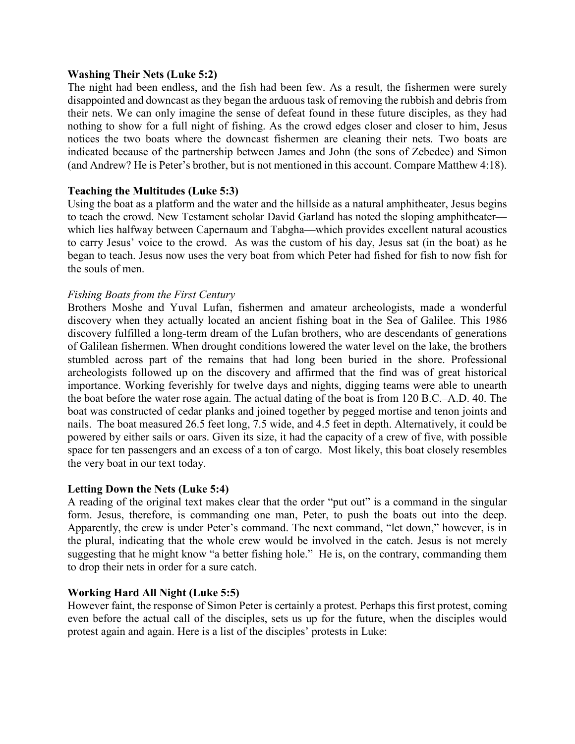#### **Washing Their Nets (Luke 5:2)**

The night had been endless, and the fish had been few. As a result, the fishermen were surely disappointed and downcast as they began the arduous task of removing the rubbish and debris from their nets. We can only imagine the sense of defeat found in these future disciples, as they had nothing to show for a full night of fishing. As the crowd edges closer and closer to him, Jesus notices the two boats where the downcast fishermen are cleaning their nets. Two boats are indicated because of the partnership between James and John (the sons of Zebedee) and Simon (and Andrew? He is Peter's brother, but is not mentioned in this account. Compare Matthew 4:18).

## **Teaching the Multitudes (Luke 5:3)**

Using the boat as a platform and the water and the hillside as a natural amphitheater, Jesus begins to teach the crowd. New Testament scholar David Garland has noted the sloping amphitheater which lies halfway between Capernaum and Tabgha—which provides excellent natural acoustics to carry Jesus' voice to the crowd. As was the custom of his day, Jesus sat (in the boat) as he began to teach. Jesus now uses the very boat from which Peter had fished for fish to now fish for the souls of men.

# *Fishing Boats from the First Century*

Brothers Moshe and Yuval Lufan, fishermen and amateur archeologists, made a wonderful discovery when they actually located an ancient fishing boat in the Sea of Galilee. This 1986 discovery fulfilled a long-term dream of the Lufan brothers, who are descendants of generations of Galilean fishermen. When drought conditions lowered the water level on the lake, the brothers stumbled across part of the remains that had long been buried in the shore. Professional archeologists followed up on the discovery and affirmed that the find was of great historical importance. Working feverishly for twelve days and nights, digging teams were able to unearth the boat before the water rose again. The actual dating of the boat is from 120 B.C.–A.D. 40. The boat was constructed of cedar planks and joined together by pegged mortise and tenon joints and nails. The boat measured 26.5 feet long, 7.5 wide, and 4.5 feet in depth. Alternatively, it could be powered by either sails or oars. Given its size, it had the capacity of a crew of five, with possible space for ten passengers and an excess of a ton of cargo. Most likely, this boat closely resembles the very boat in our text today.

## **Letting Down the Nets (Luke 5:4)**

A reading of the original text makes clear that the order "put out" is a command in the singular form. Jesus, therefore, is commanding one man, Peter, to push the boats out into the deep. Apparently, the crew is under Peter's command. The next command, "let down," however, is in the plural, indicating that the whole crew would be involved in the catch. Jesus is not merely suggesting that he might know "a better fishing hole." He is, on the contrary, commanding them to drop their nets in order for a sure catch.

## **Working Hard All Night (Luke 5:5)**

However faint, the response of Simon Peter is certainly a protest. Perhaps this first protest, coming even before the actual call of the disciples, sets us up for the future, when the disciples would protest again and again. Here is a list of the disciples' protests in Luke: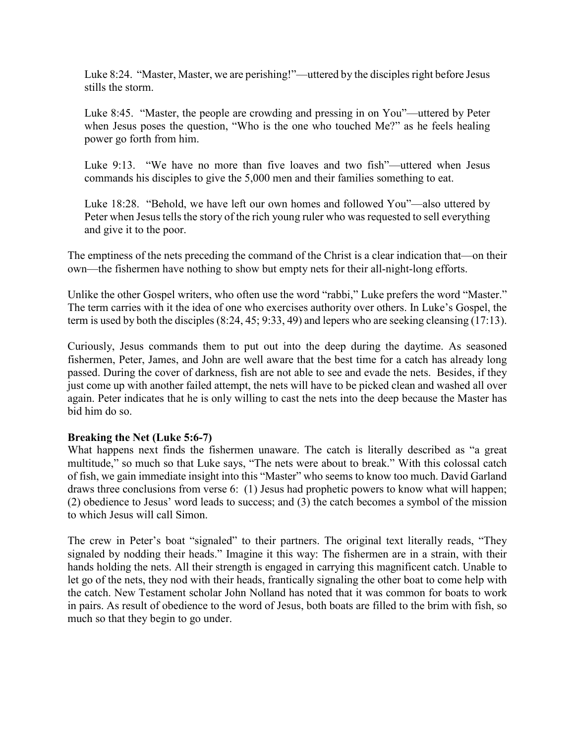Luke 8:24. "Master, Master, we are perishing!"—uttered by the disciples right before Jesus stills the storm.

Luke 8:45. "Master, the people are crowding and pressing in on You"—uttered by Peter when Jesus poses the question, "Who is the one who touched Me?" as he feels healing power go forth from him.

Luke 9:13. "We have no more than five loaves and two fish"—uttered when Jesus commands his disciples to give the 5,000 men and their families something to eat.

Luke 18:28. "Behold, we have left our own homes and followed You"—also uttered by Peter when Jesus tells the story of the rich young ruler who was requested to sell everything and give it to the poor.

The emptiness of the nets preceding the command of the Christ is a clear indication that—on their own—the fishermen have nothing to show but empty nets for their all-night-long efforts.

Unlike the other Gospel writers, who often use the word "rabbi," Luke prefers the word "Master." The term carries with it the idea of one who exercises authority over others. In Luke's Gospel, the term is used by both the disciples (8:24, 45; 9:33, 49) and lepers who are seeking cleansing (17:13).

Curiously, Jesus commands them to put out into the deep during the daytime. As seasoned fishermen, Peter, James, and John are well aware that the best time for a catch has already long passed. During the cover of darkness, fish are not able to see and evade the nets. Besides, if they just come up with another failed attempt, the nets will have to be picked clean and washed all over again. Peter indicates that he is only willing to cast the nets into the deep because the Master has bid him do so.

# **Breaking the Net (Luke 5:6-7)**

What happens next finds the fishermen unaware. The catch is literally described as "a great multitude," so much so that Luke says, "The nets were about to break." With this colossal catch of fish, we gain immediate insight into this "Master" who seems to know too much. David Garland draws three conclusions from verse 6: (1) Jesus had prophetic powers to know what will happen; (2) obedience to Jesus' word leads to success; and (3) the catch becomes a symbol of the mission to which Jesus will call Simon.

The crew in Peter's boat "signaled" to their partners. The original text literally reads, "They signaled by nodding their heads." Imagine it this way: The fishermen are in a strain, with their hands holding the nets. All their strength is engaged in carrying this magnificent catch. Unable to let go of the nets, they nod with their heads, frantically signaling the other boat to come help with the catch. New Testament scholar John Nolland has noted that it was common for boats to work in pairs. As result of obedience to the word of Jesus, both boats are filled to the brim with fish, so much so that they begin to go under.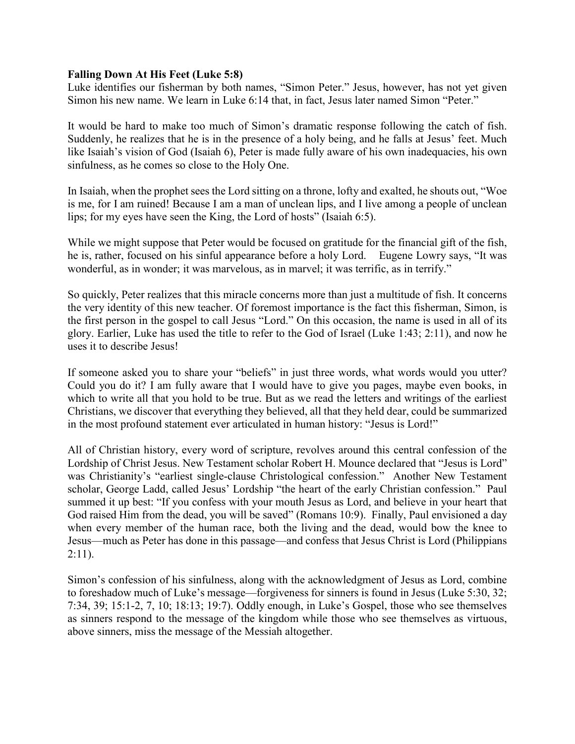### **Falling Down At His Feet (Luke 5:8)**

Luke identifies our fisherman by both names, "Simon Peter." Jesus, however, has not yet given Simon his new name. We learn in Luke 6:14 that, in fact, Jesus later named Simon "Peter."

It would be hard to make too much of Simon's dramatic response following the catch of fish. Suddenly, he realizes that he is in the presence of a holy being, and he falls at Jesus' feet. Much like Isaiah's vision of God (Isaiah 6), Peter is made fully aware of his own inadequacies, his own sinfulness, as he comes so close to the Holy One.

In Isaiah, when the prophet sees the Lord sitting on a throne, lofty and exalted, he shouts out, "Woe is me, for I am ruined! Because I am a man of unclean lips, and I live among a people of unclean lips; for my eyes have seen the King, the Lord of hosts" (Isaiah 6:5).

While we might suppose that Peter would be focused on gratitude for the financial gift of the fish, he is, rather, focused on his sinful appearance before a holy Lord. Eugene Lowry says, "It was wonderful, as in wonder; it was marvelous, as in marvel; it was terrific, as in terrify."

So quickly, Peter realizes that this miracle concerns more than just a multitude of fish. It concerns the very identity of this new teacher. Of foremost importance is the fact this fisherman, Simon, is the first person in the gospel to call Jesus "Lord." On this occasion, the name is used in all of its glory. Earlier, Luke has used the title to refer to the God of Israel (Luke 1:43; 2:11), and now he uses it to describe Jesus!

If someone asked you to share your "beliefs" in just three words, what words would you utter? Could you do it? I am fully aware that I would have to give you pages, maybe even books, in which to write all that you hold to be true. But as we read the letters and writings of the earliest Christians, we discover that everything they believed, all that they held dear, could be summarized in the most profound statement ever articulated in human history: "Jesus is Lord!"

All of Christian history, every word of scripture, revolves around this central confession of the Lordship of Christ Jesus. New Testament scholar Robert H. Mounce declared that "Jesus is Lord" was Christianity's "earliest single-clause Christological confession." Another New Testament scholar, George Ladd, called Jesus' Lordship "the heart of the early Christian confession." Paul summed it up best: "If you confess with your mouth Jesus as Lord, and believe in your heart that God raised Him from the dead, you will be saved" (Romans 10:9). Finally, Paul envisioned a day when every member of the human race, both the living and the dead, would bow the knee to Jesus—much as Peter has done in this passage—and confess that Jesus Christ is Lord (Philippians  $2:11$ ).

Simon's confession of his sinfulness, along with the acknowledgment of Jesus as Lord, combine to foreshadow much of Luke's message—forgiveness for sinners is found in Jesus (Luke 5:30, 32; 7:34, 39; 15:1-2, 7, 10; 18:13; 19:7). Oddly enough, in Luke's Gospel, those who see themselves as sinners respond to the message of the kingdom while those who see themselves as virtuous, above sinners, miss the message of the Messiah altogether.